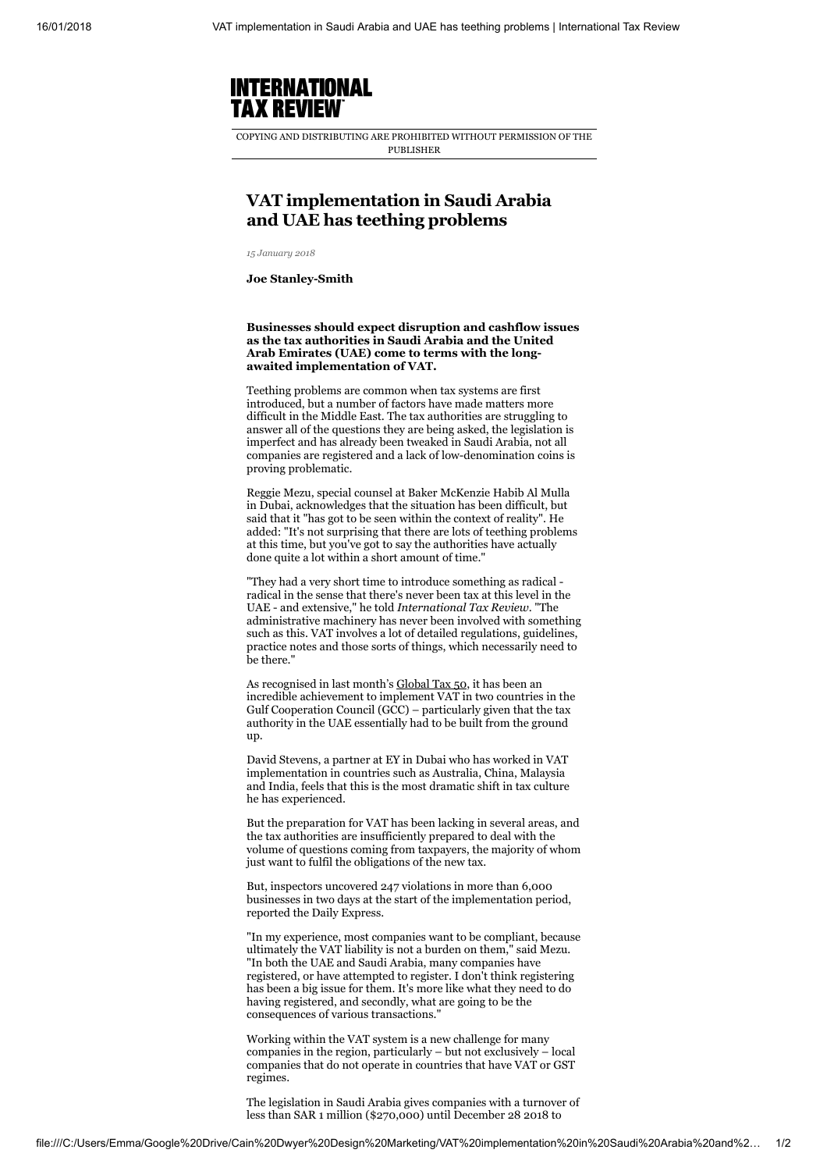

COPYING AND DISTRIBUTING ARE PROHIBITED WITHOUT PERMISSION OF THE PUBLISHER

## VAT implementation in Saudi Arabia and UAE has teething problems

*15 January 2018*

Joe Stanley-Smith

Businesses should expect disruption and cashflow issues as the tax authorities in Saudi Arabia and the United Arab Emirates (UAE) come to terms with the longawaited implementation of VAT.

Teething problems are common when tax systems are first introduced, but a number of factors have made matters more difficult in the Middle East. The tax authorities are struggling to answer all of the questions they are being asked, the legislation is imperfect and has already been tweaked in Saudi Arabia, not all companies are registered and a lack of low-denomination coins is proving problematic.

Reggie Mezu, special counsel at Baker McKenzie Habib Al Mulla in Dubai, acknowledges that the situation has been difficult, but said that it "has got to be seen within the context of reality". He added: "It's not surprising that there are lots of teething problems at this time, but you've got to say the authorities have actually done quite a lot within a short amount of time."

"They had a very short time to introduce something as radical radical in the sense that there's never been tax at this level in the UAE - and extensive," he told *International Tax Review*. "The administrative machinery has never been involved with something such as this. VAT involves a lot of detailed regulations, guidelines, practice notes and those sorts of things, which necessarily need to be there."

As recognised in last month's [Global Tax 50,](http://www.internationaltaxreview.com/Article/3775138/Global-Tax-50-2017-The-Gulf-Cooperation-Council-GCC.html) it has been an incredible achievement to implement VAT in two countries in the Gulf Cooperation Council (GCC) – particularly given that the tax authority in the UAE essentially had to be built from the ground up.

David Stevens, a partner at EY in Dubai who has worked in VAT implementation in countries such as Australia, China, Malaysia and India, feels that this is the most dramatic shift in tax culture he has experienced.

But the preparation for VAT has been lacking in several areas, and the tax authorities are insufficiently prepared to deal with the volume of questions coming from taxpayers, the majority of whom just want to fulfil the obligations of the new tax.

But, inspectors uncovered 247 violations in more than 6,000 businesses in two days at the start of the implementation period, reported the Daily Express.

"In my experience, most companies want to be compliant, because ultimately the VAT liability is not a burden on them," said Mezu. "In both the UAE and Saudi Arabia, many companies have registered, or have attempted to register. I don't think registering has been a big issue for them. It's more like what they need to do having registered, and secondly, what are going to be the consequences of various transactions."

Working within the VAT system is a new challenge for many companies in the region, particularly – but not exclusively – local companies that do not operate in countries that have VAT or GST regimes.

The legislation in Saudi Arabia gives companies with a turnover of less than SAR 1 million (\$270,000) until December 28 2018 to